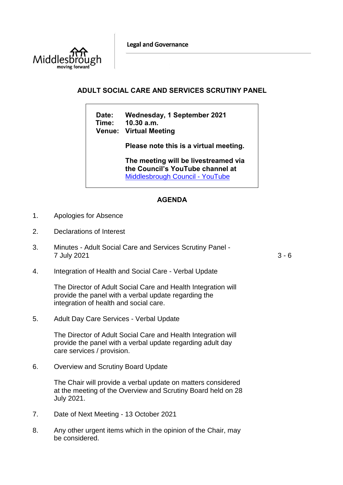**Legal and Governance** 



## **ADULT SOCIAL CARE AND SERVICES SCRUTINY PANEL**

**Date: Wednesday, 1 September 2021 Time: 10.30 a.m. Venue: Virtual Meeting**

**Please note this is a virtual meeting.** 

**The meeting will be livestreamed via the Council's YouTube channel at**  [Middlesbrough Council -](https://www.youtube.com/user/middlesbroughcouncil) YouTube

## **AGENDA**

- 1. Apologies for Absence
- 2. Declarations of Interest
- 3. Minutes Adult Social Care and Services Scrutiny Panel 7 July 2021 3 - 6

4. Integration of Health and Social Care - Verbal Update

The Director of Adult Social Care and Health Integration will provide the panel with a verbal update regarding the integration of health and social care.

5. Adult Day Care Services - Verbal Update

The Director of Adult Social Care and Health Integration will provide the panel with a verbal update regarding adult day care services / provision.

6. Overview and Scrutiny Board Update

The Chair will provide a verbal update on matters considered at the meeting of the Overview and Scrutiny Board held on 28 July 2021.

- 7. Date of Next Meeting 13 October 2021
- 8. Any other urgent items which in the opinion of the Chair, may be considered.